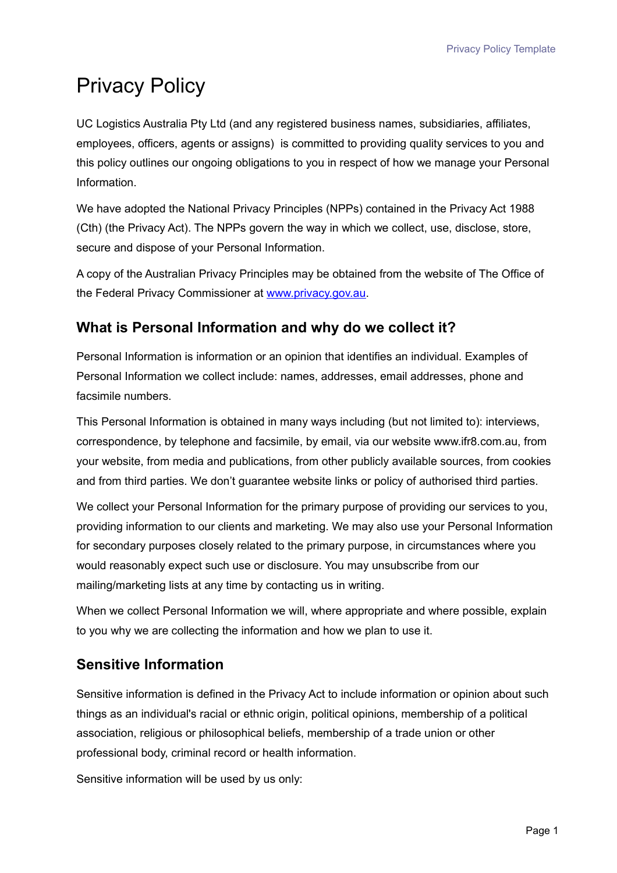# Privacy Policy

UC Logistics Australia Pty Ltd (and any registered business names, subsidiaries, affiliates, employees, officers, agents or assigns) is committed to providing quality services to you and this policy outlines our ongoing obligations to you in respect of how we manage your Personal Information.

We have adopted the National Privacy Principles (NPPs) contained in the Privacy Act 1988 (Cth) (the Privacy Act). The NPPs govern the way in which we collect, use, disclose, store, secure and dispose of your Personal Information.

A copy of the Australian Privacy Principles may be obtained from the website of The Office of the Federal Privacy Commissioner at [www.privacy.gov.au.](http://www.privacy.gov.au/)

## **What is Personal Information and why do we collect it?**

Personal Information is information or an opinion that identifies an individual. Examples of Personal Information we collect include: names, addresses, email addresses, phone and facsimile numbers.

This Personal Information is obtained in many ways including (but not limited to): interviews, correspondence, by telephone and facsimile, by email, via our website www.ifr8.com.au, from your website, from media and publications, from other publicly available sources, from cookies and from third parties. We don't guarantee website links or policy of authorised third parties.

We collect your Personal Information for the primary purpose of providing our services to you, providing information to our clients and marketing. We may also use your Personal Information for secondary purposes closely related to the primary purpose, in circumstances where you would reasonably expect such use or disclosure. You may unsubscribe from our mailing/marketing lists at any time by contacting us in writing.

When we collect Personal Information we will, where appropriate and where possible, explain to you why we are collecting the information and how we plan to use it.

## **Sensitive Information**

Sensitive information is defined in the Privacy Act to include information or opinion about such things as an individual's racial or ethnic origin, political opinions, membership of a political association, religious or philosophical beliefs, membership of a trade union or other professional body, criminal record or health information.

Sensitive information will be used by us only: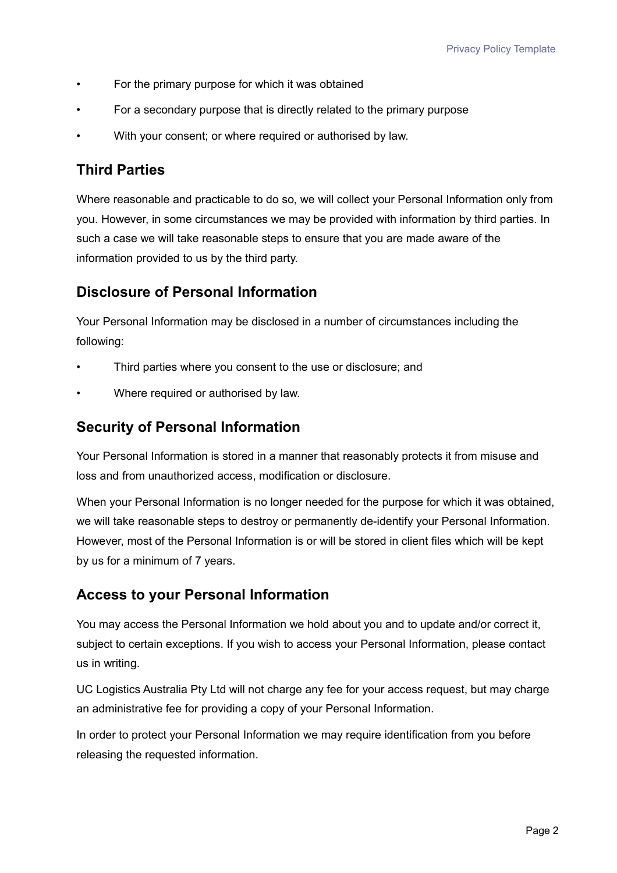- For the primary purpose for which it was obtained
- For a secondary purpose that is directly related to the primary purpose
- With your consent; or where required or authorised by law.

### **Third Parties**

Where reasonable and practicable to do so, we will collect your Personal Information only from you. However, in some circumstances we may be provided with information by third parties. In such a case we will take reasonable steps to ensure that you are made aware of the information provided to us by the third party.

#### **Disclosure of Personal Information**

Your Personal Information may be disclosed in a number of circumstances including the following:

- Third parties where you consent to the use or disclosure; and
- Where required or authorised by law.

#### **Security of Personal Information**

Your Personal Information is stored in a manner that reasonably protects it from misuse and loss and from unauthorized access, modification or disclosure.

When your Personal Information is no longer needed for the purpose for which it was obtained, we will take reasonable steps to destroy or permanently de-identify your Personal Information. However, most of the Personal Information is or will be stored in client files which will be kept by us for a minimum of 7 years.

## **Access to your Personal Information**

You may access the Personal Information we hold about you and to update and/or correct it, subject to certain exceptions. If you wish to access your Personal Information, please contact us in writing.

UC Logistics Australia Pty Ltd will not charge any fee for your access request, but may charge an administrative fee for providing a copy of your Personal Information.

In order to protect your Personal Information we may require identification from you before releasing the requested information.